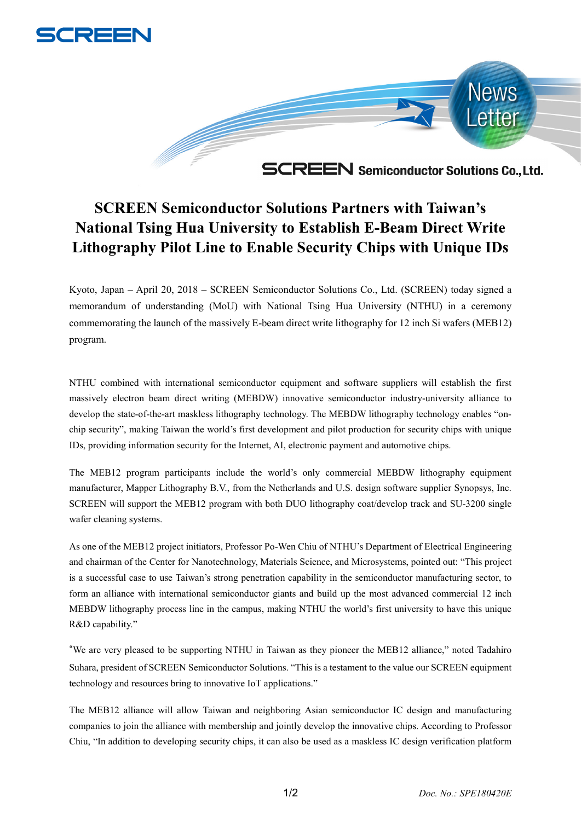



**SCREEN Semiconductor Solutions Partners with Taiwan's National Tsing Hua University to Establish E-Beam Direct Write Lithography Pilot Line to Enable Security Chips with Unique IDs**

Kyoto, Japan – April 20, 2018 – SCREEN Semiconductor Solutions Co., Ltd. (SCREEN) today signed a memorandum of understanding (MoU) with National Tsing Hua University (NTHU) in a ceremony commemorating the launch of the massively E-beam direct write lithography for 12 inch Si wafers (MEB12) program.

NTHU combined with international semiconductor equipment and software suppliers will establish the first massively electron beam direct writing (MEBDW) innovative semiconductor industry-university alliance to develop the state-of-the-art maskless lithography technology. The MEBDW lithography technology enables "onchip security", making Taiwan the world's first development and pilot production for security chips with unique IDs, providing information security for the Internet, AI, electronic payment and automotive chips.

The MEB12 program participants include the world's only commercial MEBDW lithography equipment manufacturer, Mapper Lithography B.V., from the Netherlands and U.S. design software supplier Synopsys, Inc. SCREEN will support the MEB12 program with both DUO lithography coat/develop track and SU-3200 single wafer cleaning systems.

As one of the MEB12 project initiators, Professor Po-Wen Chiu of NTHU's Department of Electrical Engineering and chairman of the Center for Nanotechnology, Materials Science, and Microsystems, pointed out: "This project is a successful case to use Taiwan's strong penetration capability in the semiconductor manufacturing sector, to form an alliance with international semiconductor giants and build up the most advanced commercial 12 inch MEBDW lithography process line in the campus, making NTHU the world's first university to have this unique R&D capability."

"We are very pleased to be supporting NTHU in Taiwan as they pioneer the MEB12 alliance," noted Tadahiro Suhara, president of SCREEN Semiconductor Solutions. "This is a testament to the value our SCREEN equipment technology and resources bring to innovative IoT applications."

The MEB12 alliance will allow Taiwan and neighboring Asian semiconductor IC design and manufacturing companies to join the alliance with membership and jointly develop the innovative chips. According to Professor Chiu, "In addition to developing security chips, it can also be used as a maskless IC design verification platform